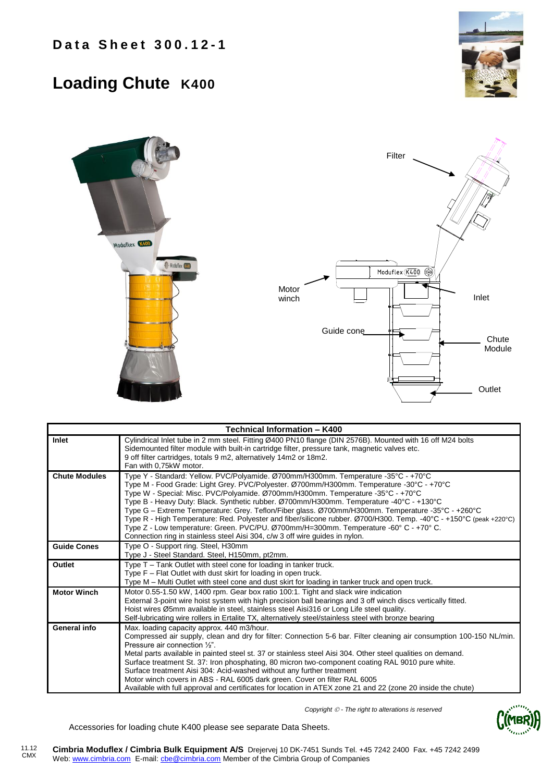## **Loading Chute K400**





| Technical Information - K400 |                                                                                                                                                                                                                                                                                                                                                                                                                                                                                                                                                                                                                                                                                                                                                                  |  |  |  |  |  |
|------------------------------|------------------------------------------------------------------------------------------------------------------------------------------------------------------------------------------------------------------------------------------------------------------------------------------------------------------------------------------------------------------------------------------------------------------------------------------------------------------------------------------------------------------------------------------------------------------------------------------------------------------------------------------------------------------------------------------------------------------------------------------------------------------|--|--|--|--|--|
| Inlet                        | Cylindrical Inlet tube in 2 mm steel. Fitting Ø400 PN10 flange (DIN 2576B). Mounted with 16 off M24 bolts<br>Sidemounted filter module with built-in cartridge filter, pressure tank, magnetic valves etc.<br>9 off filter cartridges, totals 9 m2, alternatively 14m2 or 18m2.<br>Fan with 0.75kW motor.                                                                                                                                                                                                                                                                                                                                                                                                                                                        |  |  |  |  |  |
| <b>Chute Modules</b>         | Type Y - Standard: Yellow. PVC/Polyamide. Ø700mm/H300mm. Temperature -35°C - +70°C<br>Type M - Food Grade: Light Grey. PVC/Polyester. Ø700mm/H300mm. Temperature -30°C - +70°C<br>Type W - Special: Misc. PVC/Polyamide. Ø700mm/H300mm. Temperature -35°C - +70°C<br>Type B - Heavy Duty: Black. Synthetic rubber. Ø700mm/H300mm. Temperature -40°C - +130°C<br>Type G - Extreme Temperature: Grey. Teflon/Fiber glass. Ø700mm/H300mm. Temperature -35°C - +260°C<br>Type R - High Temperature: Red. Polyester and fiber/silicone rubber. Ø700/H300. Temp. -40°C - +150°C (peak +220°C)<br>Type Z - Low temperature: Green. PVC/PU. Ø700mm/H=300mm. Temperature -60° C - +70° C.<br>Connection ring in stainless steel Aisi 304, c/w 3 off wire guides in nylon. |  |  |  |  |  |
| <b>Guide Cones</b>           | Type O - Support ring. Steel, H30mm<br>Type J - Steel Standard. Steel, H150mm, pt2mm.                                                                                                                                                                                                                                                                                                                                                                                                                                                                                                                                                                                                                                                                            |  |  |  |  |  |
| Outlet                       | Type T – Tank Outlet with steel cone for loading in tanker truck.<br>Type F - Flat Outlet with dust skirt for loading in open truck.<br>Type M – Multi Outlet with steel cone and dust skirt for loading in tanker truck and open truck.                                                                                                                                                                                                                                                                                                                                                                                                                                                                                                                         |  |  |  |  |  |
| <b>Motor Winch</b>           | Motor 0.55-1.50 kW, 1400 rpm. Gear box ratio 100:1. Tight and slack wire indication<br>External 3-point wire hoist system with high precision ball bearings and 3 off winch discs vertically fitted.<br>Hoist wires Ø5mm available in steel, stainless steel Aisi316 or Long Life steel quality.<br>Self-lubricating wire rollers in Ertalite TX, alternatively steel/stainless steel with bronze bearing                                                                                                                                                                                                                                                                                                                                                        |  |  |  |  |  |
| General info                 | Max. loading capacity approx. 440 m3/hour.<br>Compressed air supply, clean and dry for filter: Connection 5-6 bar. Filter cleaning air consumption 100-150 NL/min.<br>Pressure air connection 1/2".<br>Metal parts available in painted steel st. 37 or stainless steel Aisi 304. Other steel qualities on demand.<br>Surface treatment St. 37: Iron phosphating, 80 micron two-component coating RAL 9010 pure white.<br>Surface treatment Aisi 304: Acid-washed without any further treatment<br>Motor winch covers in ABS - RAL 6005 dark green. Cover on filter RAL 6005<br>Available with full approval and certificates for location in ATEX zone 21 and 22 (zone 20 inside the chute)                                                                     |  |  |  |  |  |

*Copyright - The right to alterations is reserved*

Accessories for loading chute K400 please see separate Data Sheets.

11.12 CMX